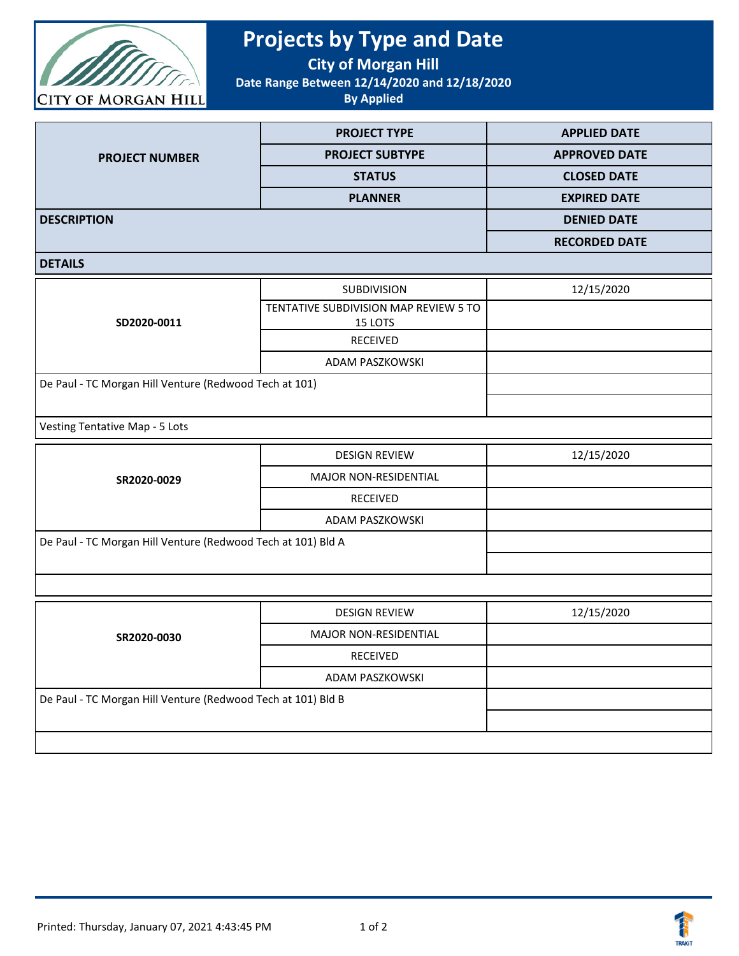

## **Projects by Type and Date**

**City of Morgan Hill**

**Date Range Between 12/14/2020 and 12/18/2020**

**By Applied**

|                       | <b>PROJECT TYPE</b>    | <b>APPLIED DATE</b>  |
|-----------------------|------------------------|----------------------|
| <b>PROJECT NUMBER</b> | <b>PROJECT SUBTYPE</b> | <b>APPROVED DATE</b> |
|                       | <b>STATUS</b>          | <b>CLOSED DATE</b>   |
|                       | <b>PLANNER</b>         | <b>EXPIRED DATE</b>  |
| <b>DESCRIPTION</b>    |                        | <b>DENIED DATE</b>   |
|                       |                        | <b>RECORDED DATE</b> |

## **DETAILS**

| <b>SUBDIVISION</b>                                     | 12/15/2020 |
|--------------------------------------------------------|------------|
| TENTATIVE SUBDIVISION MAP REVIEW 5 TO<br>15 LOTS       |            |
| RECEIVED                                               |            |
| ADAM PASZKOWSKI                                        |            |
| De Paul - TC Morgan Hill Venture (Redwood Tech at 101) |            |
|                                                        |            |
|                                                        |            |

Vesting Tentative Map - 5 Lots

| SR2020-0029                                                  | <b>DESIGN REVIEW</b>         | 12/15/2020 |
|--------------------------------------------------------------|------------------------------|------------|
|                                                              | <b>MAJOR NON-RESIDENTIAL</b> |            |
|                                                              | <b>RECEIVED</b>              |            |
|                                                              | ADAM PASZKOWSKI              |            |
| De Paul - TC Morgan Hill Venture (Redwood Tech at 101) Bld A |                              |            |
|                                                              |                              |            |

| SR2020-0030                                                  | <b>DESIGN REVIEW</b>         | 12/15/2020 |
|--------------------------------------------------------------|------------------------------|------------|
|                                                              | <b>MAJOR NON-RESIDENTIAL</b> |            |
|                                                              | <b>RECEIVED</b>              |            |
|                                                              | ADAM PASZKOWSKI              |            |
| De Paul - TC Morgan Hill Venture (Redwood Tech at 101) Bld B |                              |            |
|                                                              |                              |            |
|                                                              |                              |            |